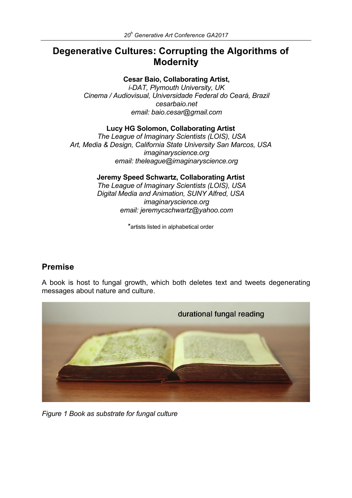# **Degenerative Cultures: Corrupting the Algorithms of Modernity**

#### **Cesar Baio, Collaborating Artist,**

*i-DAT, Plymouth University, UK Cinema / Audiovisual, Universidade Federal do Ceará, Brazil cesarbaio.net email: baio.cesar@gmail.com* 

#### **Lucy HG Solomon, Collaborating Artist**

*The League of Imaginary Scientists (LOIS), USA Art, Media & Design, California State University San Marcos, USA imaginaryscience.org email: theleague@imaginaryscience.org*

#### **Jeremy Speed Schwartz, Collaborating Artist**

*The League of Imaginary Scientists (LOIS), USA Digital Media and Animation, SUNY Alfred, USA imaginaryscience.org email: jeremycschwartz@yahoo.com*

\*artists listed in alphabetical order

## **Premise**

A book is host to fungal growth, which both deletes text and tweets degenerating messages about nature and culture.



*Figure 1 Book as substrate for fungal culture*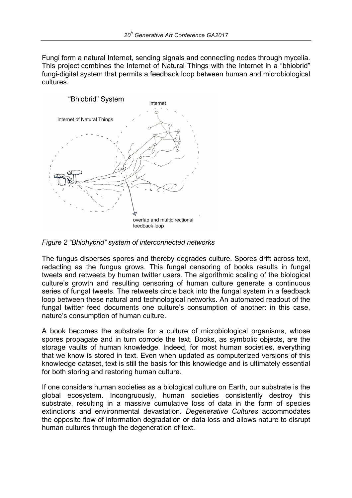Fungi form a natural Internet, sending signals and connecting nodes through mycelia. This project combines the Internet of Natural Things with the Internet in a "bhiobrid" fungi-digital system that permits a feedback loop between human and microbiological cultures.



*Figure 2 "Bhiohybrid" system of interconnected networks*

The fungus disperses spores and thereby degrades culture. Spores drift across text, redacting as the fungus grows. This fungal censoring of books results in fungal tweets and retweets by human twitter users. The algorithmic scaling of the biological culture's growth and resulting censoring of human culture generate a continuous series of fungal tweets. The retweets circle back into the fungal system in a feedback loop between these natural and technological networks. An automated readout of the fungal twitter feed documents one culture's consumption of another: in this case, nature's consumption of human culture.

A book becomes the substrate for a culture of microbiological organisms, whose spores propagate and in turn corrode the text. Books, as symbolic objects, are the storage vaults of human knowledge. Indeed, for most human societies, everything that we know is stored in text. Even when updated as computerized versions of this knowledge dataset, text is still the basis for this knowledge and is ultimately essential for both storing and restoring human culture.

If one considers human societies as a biological culture on Earth, our substrate is the global ecosystem. Incongruously, human societies consistently destroy this substrate, resulting in a massive cumulative loss of data in the form of species extinctions and environmental devastation. *Degenerative Cultures* accommodates the opposite flow of information degradation or data loss and allows nature to disrupt human cultures through the degeneration of text.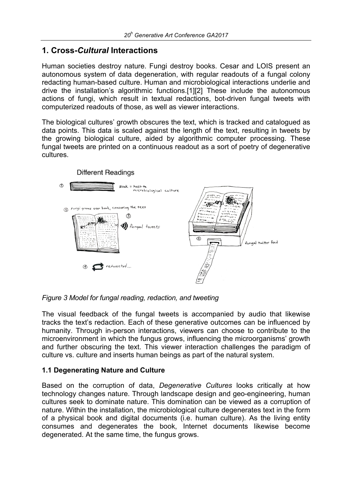## **1. Cross-***Cultural* **Interactions**

Human societies destroy nature. Fungi destroy books. Cesar and LOIS present an autonomous system of data degeneration, with regular readouts of a fungal colony redacting human-based culture. Human and microbiological interactions underlie and drive the installation's algorithmic functions.[1][2] These include the autonomous actions of fungi, which result in textual redactions, bot-driven fungal tweets with computerized readouts of those, as well as viewer interactions.

The biological cultures' growth obscures the text, which is tracked and catalogued as data points. This data is scaled against the length of the text, resulting in tweets by the growing biological culture, aided by algorithmic computer processing. These fungal tweets are printed on a continuous readout as a sort of poetry of degenerative cultures.



*Figure 3 Model for fungal reading, redaction, and tweeting*

The visual feedback of the fungal tweets is accompanied by audio that likewise tracks the text's redaction. Each of these generative outcomes can be influenced by humanity. Through in-person interactions, viewers can choose to contribute to the microenvironment in which the fungus grows, influencing the microorganisms' growth and further obscuring the text. This viewer interaction challenges the paradigm of culture vs. culture and inserts human beings as part of the natural system.

### **1.1 Degenerating Nature and Culture**

Based on the corruption of data, *Degenerative Cultures* looks critically at how technology changes nature. Through landscape design and geo-engineering, human cultures seek to dominate nature. This domination can be viewed as a corruption of nature. Within the installation, the microbiological culture degenerates text in the form of a physical book and digital documents (i.e. human culture). As the living entity consumes and degenerates the book, Internet documents likewise become degenerated. At the same time, the fungus grows.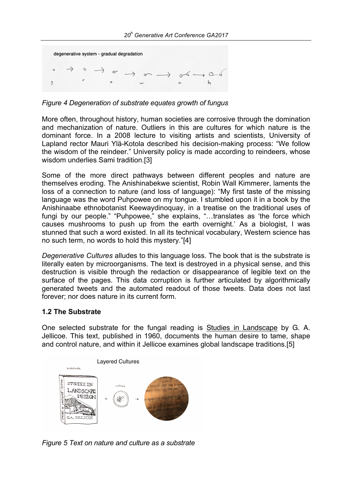

*Figure 4 Degeneration of substrate equates growth of fungus*

More often, throughout history, human societies are corrosive through the domination and mechanization of nature. Outliers in this are cultures for which nature is the dominant force. In a 2008 lecture to visiting artists and scientists, University of Lapland rector Mauri Ylä-Kotola described his decision-making process: "We follow the wisdom of the reindeer." University policy is made according to reindeers, whose wisdom underlies Sami tradition.[3]

Some of the more direct pathways between different peoples and nature are themselves eroding. The Anishinabekwe scientist, Robin Wall Kimmerer, laments the loss of a connection to nature (and loss of language): "My first taste of the missing language was the word Puhpowee on my tongue. I stumbled upon it in a book by the Anishinaabe ethnobotanist Keewaydinoquay, in a treatise on the traditional uses of fungi by our people." "Puhpowee," she explains, "…translates as 'the force which causes mushrooms to push up from the earth overnight.' As a biologist, I was stunned that such a word existed. In all its technical vocabulary, Western science has no such term, no words to hold this mystery."[4]

*Degenerative Cultures* alludes to this language loss. The book that is the substrate is literally eaten by microorganisms. The text is destroyed in a physical sense, and this destruction is visible through the redaction or disappearance of legible text on the surface of the pages. This data corruption is further articulated by algorithmically generated tweets and the automated readout of those tweets. Data does not last forever; nor does nature in its current form.

#### **1.2 The Substrate**

One selected substrate for the fungal reading is Studies in Landscape by G. A. Jellicoe. This text, published in 1960, documents the human desire to tame, shape and control nature, and within it Jellicoe examines global landscape traditions.[5]



*Figure 5 Text on nature and culture as a substrate*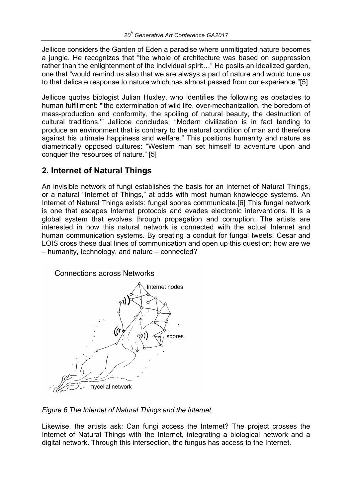Jellicoe considers the Garden of Eden a paradise where unmitigated nature becomes a jungle. He recognizes that "the whole of architecture was based on suppression rather than the enlightenment of the individual spirit…" He posits an idealized garden, one that "would remind us also that we are always a part of nature and would tune us to that delicate response to nature which has almost passed from our experience."[5]

Jellicoe quotes biologist Julian Huxley, who identifies the following as obstacles to human fulfillment: "'the extermination of wild life, over-mechanization, the boredom of mass-production and conformity, the spoiling of natural beauty, the destruction of cultural traditions.'" Jellicoe concludes: "Modern civilization is in fact tending to produce an environment that is contrary to the natural condition of man and therefore against his ultimate happiness and welfare." This positions humanity and nature as diametrically opposed cultures: "Western man set himself to adventure upon and conquer the resources of nature." [5]

# **2. Internet of Natural Things**

An invisible network of fungi establishes the basis for an Internet of Natural Things, or a natural "Internet of Things," at odds with most human knowledge systems. An Internet of Natural Things exists: fungal spores communicate.[6] This fungal network is one that escapes Internet protocols and evades electronic interventions. It is a global system that evolves through propagation and corruption. The artists are interested in how this natural network is connected with the actual Internet and human communication systems. By creating a conduit for fungal tweets, Cesar and LOIS cross these dual lines of communication and open up this question: how are we – humanity, technology, and nature – connected?



*Figure 6 The Internet of Natural Things and the Internet*

Likewise, the artists ask: Can fungi access the Internet? The project crosses the Internet of Natural Things with the Internet, integrating a biological network and a digital network. Through this intersection, the fungus has access to the Internet.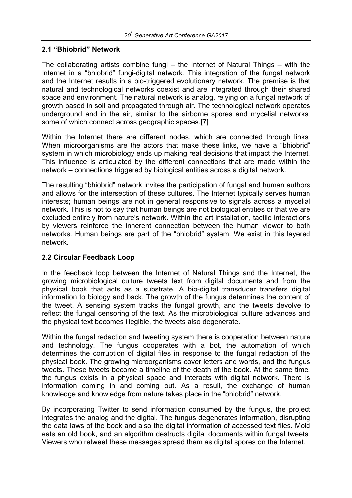#### **2.1 "Bhiobrid" Network**

The collaborating artists combine fungi – the Internet of Natural Things – with the Internet in a "bhiobrid" fungi-digital network. This integration of the fungal network and the Internet results in a bio-triggered evolutionary network. The premise is that natural and technological networks coexist and are integrated through their shared space and environment. The natural network is analog, relying on a fungal network of growth based in soil and propagated through air. The technological network operates underground and in the air, similar to the airborne spores and mycelial networks, some of which connect across geographic spaces.[7]

Within the Internet there are different nodes, which are connected through links. When microorganisms are the actors that make these links, we have a "bhiobrid" system in which microbiology ends up making real decisions that impact the Internet. This influence is articulated by the different connections that are made within the network – connections triggered by biological entities across a digital network.

The resulting "bhiobrid" network invites the participation of fungal and human authors and allows for the intersection of these cultures. The Internet typically serves human interests; human beings are not in general responsive to signals across a mycelial network. This is not to say that human beings are not biological entities or that we are excluded entirely from nature's network. Within the art installation, tactile interactions by viewers reinforce the inherent connection between the human viewer to both networks. Human beings are part of the "bhiobrid" system. We exist in this layered network.

#### **2.2 Circular Feedback Loop**

In the feedback loop between the Internet of Natural Things and the Internet, the growing microbiological culture tweets text from digital documents and from the physical book that acts as a substrate. A bio-digital transducer transfers digital information to biology and back. The growth of the fungus determines the content of the tweet. A sensing system tracks the fungal growth, and the tweets devolve to reflect the fungal censoring of the text. As the microbiological culture advances and the physical text becomes illegible, the tweets also degenerate.

Within the fungal redaction and tweeting system there is cooperation between nature and technology. The fungus cooperates with a bot, the automation of which determines the corruption of digital files in response to the fungal redaction of the physical book. The growing microorganisms cover letters and words, and the fungus tweets. These tweets become a timeline of the death of the book. At the same time, the fungus exists in a physical space and interacts with digital network. There is information coming in and coming out. As a result, the exchange of human knowledge and knowledge from nature takes place in the "bhiobrid" network.

By incorporating Twitter to send information consumed by the fungus, the project integrates the analog and the digital. The fungus degenerates information, disrupting the data laws of the book and also the digital information of accessed text files. Mold eats an old book, and an algorithm destructs digital documents within fungal tweets. Viewers who retweet these messages spread them as digital spores on the Internet.